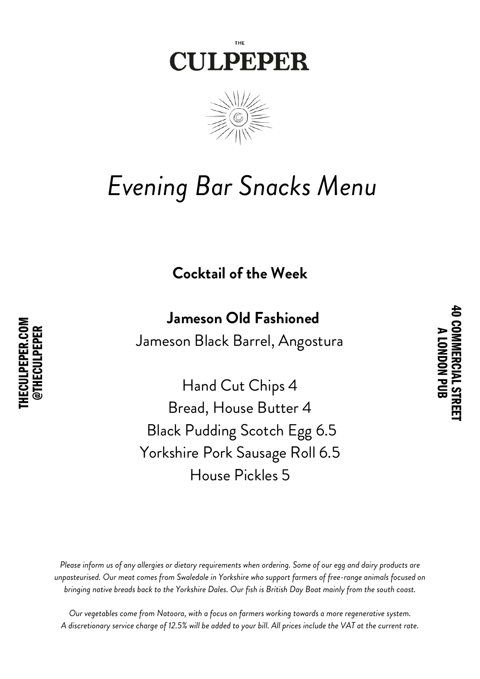



## *Evening Bar Snacks Menu*

**Cocktail of the Week**

## **Jameson Old Fashioned**

4 0 C O **M** M<br>一つのこと こうきょう こくりょう こうきょう こうきょう こうきょう こうきょう こうきょう こうきょう こうきょう こうきょう こうきょう

A L O N D  $\mathbf{\Xi}$ 

긷 œ CIA L

STREET

Jameson Black Barrel, Angostura

Hand Cut Chips 4 Bread, House Butter 4 Black Pudding Scotch Egg 6.5 Yorkshire Pork Sausage Roll 6.5 House Pickles 5

Please inform us of any allergies or dietary requirements when ordering. Some of our egg and dairy products are *unpasteurised. Our meat comes from Swaledale in Yorkshire who support farmers of free-range animals focused on* bringing native breads back to the Yorkshire Dales. Our fish is British Day Boat mainly from the south coast.

*Our vegetables come from Natoora, with a focus on farmers working towards a more regenerative system.* A discretionary service charge of 12.5% will be added to your bill. All prices include the VAT at the current rate.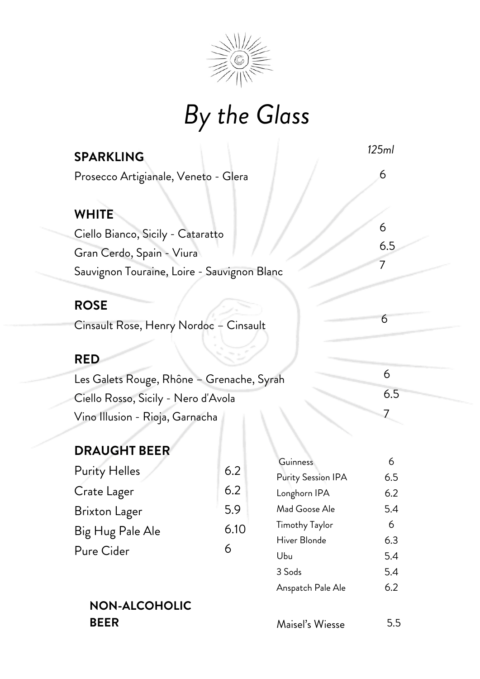

# *By the Glass*

| <b>SPARKLING</b>                                                                 | 125ml    |
|----------------------------------------------------------------------------------|----------|
| Prosecco Artigianale, Veneto - Glera                                             | 6        |
| <b>WHITE</b><br>Ciello Bianco, Sicily - Cataratto<br>Gran Cerdo, Spain - Viura   | 6<br>6.5 |
| Sauvignon Touraine, Loire - Sauvignon Blanc                                      | 7        |
| <b>ROSE</b><br>Cinsault Rose, Henry Nordoc - Cinsault                            | 6        |
| <b>RED</b>                                                                       | 6        |
| Les Galets Rouge, Rhône - Grenache, Syrah<br>Ciello Rosso, Sicily - Nero d'Avola | 6.5      |
| Vino Illusion - Rioja, Garnacha                                                  |          |

### **DRAUGHT BEER**

| <b>Purity Helles</b> | 6.2  |
|----------------------|------|
| Crate Lager          | 6.2  |
| <b>Brixton Lager</b> | 5.9  |
| Big Hug Pale Ale     | 6.10 |
| Pure Cider           | 6    |

# **NON-ALCOHOLIC**

| Guinness              | 6   |
|-----------------------|-----|
| Purity Session IPA    | 6.5 |
| Longhorn IPA          | 6.2 |
| Mad Goose Ale         | 5.4 |
| <b>Timothy Taylor</b> | 6   |
| Hiver Blonde          | 6.3 |
| Ubu                   | 5.4 |
| 3 Sods                | 5.4 |
| Anspatch Pale Ale     | 6.2 |
|                       |     |

Maisel's Wiesse **BEER** 5.5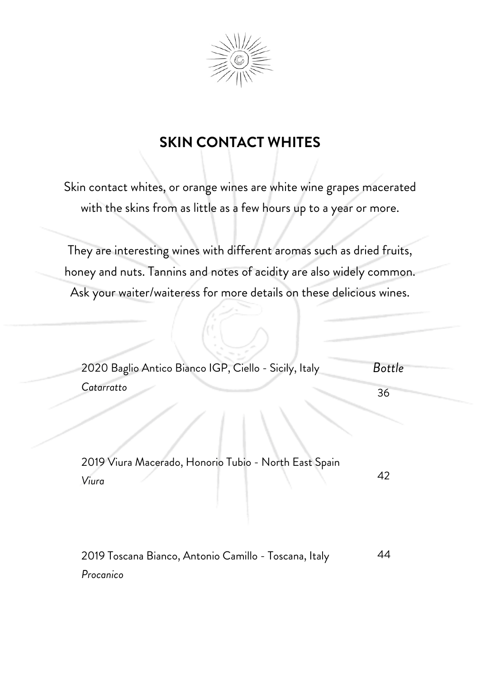

## **SKIN CONTACT WHITES**

Skin contact whites, or orange wines are white wine grapes macerated with the skins from as little as a few hours up to a year or more.

They are interesting wines with different aromas such as dried fruits, honey and nuts. Tannins and notes of acidity are also widely common. Ask your waiter/waiteress for more details on these delicious wines.

| 2020 Baglio Antico Bianco IGP, Ciello - Sicily, Italy          | <b>Bottle</b> |
|----------------------------------------------------------------|---------------|
| Catarratto                                                     | 36            |
|                                                                |               |
| 2019 Viura Macerado, Honorio Tubio - North East Spain<br>Viura | 42            |
|                                                                |               |

2019 Toscana Bianco, Antonio Camillo - Toscana, Italy *Procanico* 44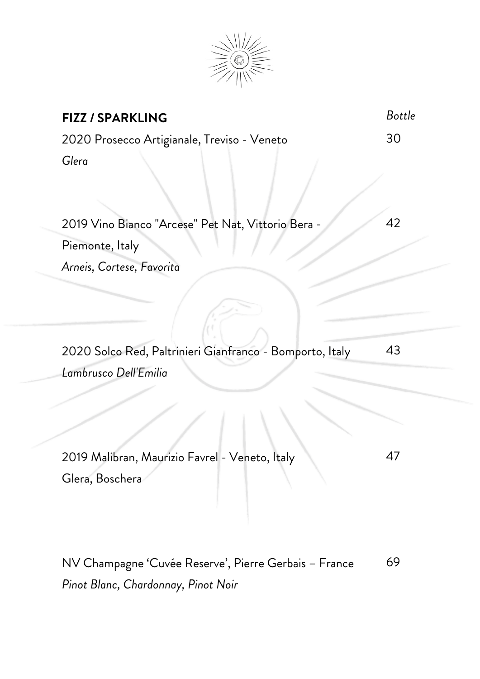

| <b>FIZZ / SPARKLING</b>                                                           | <b>Bottle</b> |
|-----------------------------------------------------------------------------------|---------------|
| 2020 Prosecco Artigianale, Treviso - Veneto                                       | 30            |
| Glera                                                                             |               |
| 2019 Vino Bianco "Arcese" Pet Nat, Vittorio Bera -                                | 42            |
| Piemonte, Italy                                                                   |               |
| Arneis, Cortese, Favorita                                                         |               |
| 2020 Solco Red, Paltrinieri Gianfranco - Bomporto, Italy<br>Lambrusco Dell'Emilia | 43            |
|                                                                                   |               |
| 2019 Malibran, Maurizio Favrel - Veneto, Italy<br>Glera, Boschera                 | 47            |
| NV Champagne 'Cuvée Reserve', Pierre Gerbais – France                             | 69            |

*Pinot Blanc, Chardonnay, Pinot Noir*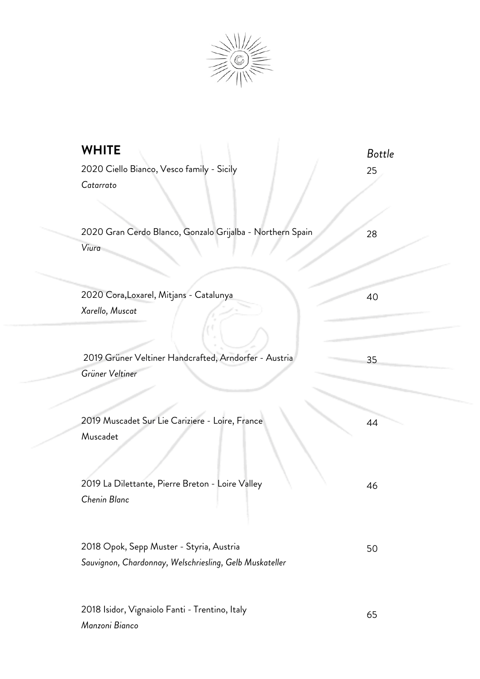

| <b>WHITE</b><br>2020 Ciello Bianco, Vesco family - Sicily<br>Catarrato                              | <b>Bottle</b><br>25 |
|-----------------------------------------------------------------------------------------------------|---------------------|
| 2020 Gran Cerdo Blanco, Gonzalo Grijalba - Northern Spain<br>Viura                                  | 28                  |
| 2020 Cora, Loxarel, Mitjans - Catalunya<br>Xarello, Muscat                                          | 40                  |
| 2019 Grüner Veltiner Handcrafted, Arndorfer - Austria<br>Grüner Veltiner                            | 35                  |
| 2019 Muscadet Sur Lie Cariziere - Loire, France<br>Muscadet                                         | 44                  |
| 2019 La Dilettante, Pierre Breton - Loire Valley<br>Chenin Blanc                                    | 46                  |
| 2018 Opok, Sepp Muster - Styria, Austria<br>Sauvignon, Chardonnay, Welschriesling, Gelb Muskateller | 50                  |
|                                                                                                     |                     |

65

2018 Isidor, Vignaiolo Fanti - Trentino, Italy

*Manzoni Bianco*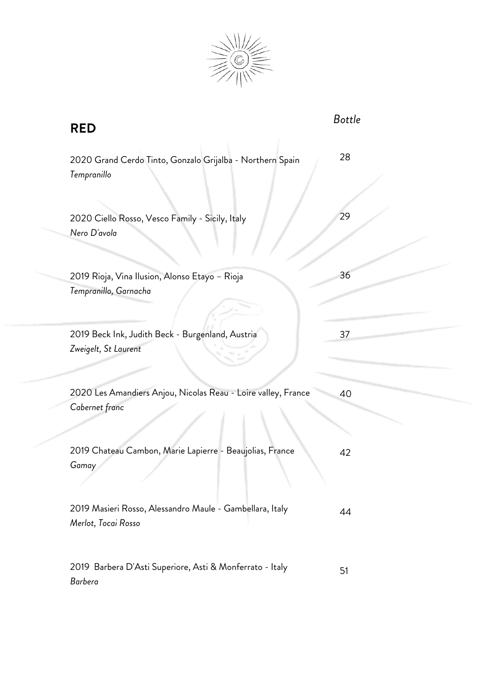

| <b>RED</b>                                                                      | <b>Bottle</b> |
|---------------------------------------------------------------------------------|---------------|
| 2020 Grand Cerdo Tinto, Gonzalo Grijalba - Northern Spain<br>Tempranillo        | 28            |
| 2020 Ciello Rosso, Vesco Family - Sicily, Italy<br>Nero D'avola                 | 29            |
| 2019 Rioja, Vina Ilusion, Alonso Etayo - Rioja<br>Tempranillo, Garnacha         | 36            |
| 2019 Beck Ink, Judith Beck - Burgenland, Austria<br>Zweigelt, St Laurent        | 37            |
| 2020 Les Amandiers Anjou, Nicolas Reau - Loire valley, France<br>Cabernet franc | 40            |
| 2019 Chateau Cambon, Marie Lapierre - Beaujolias, France<br>Gamay               | 42            |
| 2019 Masieri Rosso, Alessandro Maule - Gambellara, Italy<br>Merlot, Tocai Rosso | 44            |
| 2019 Barbera D'Asti Superiore, Asti & Monferrato - Italy<br><b>Barbera</b>      | 51            |